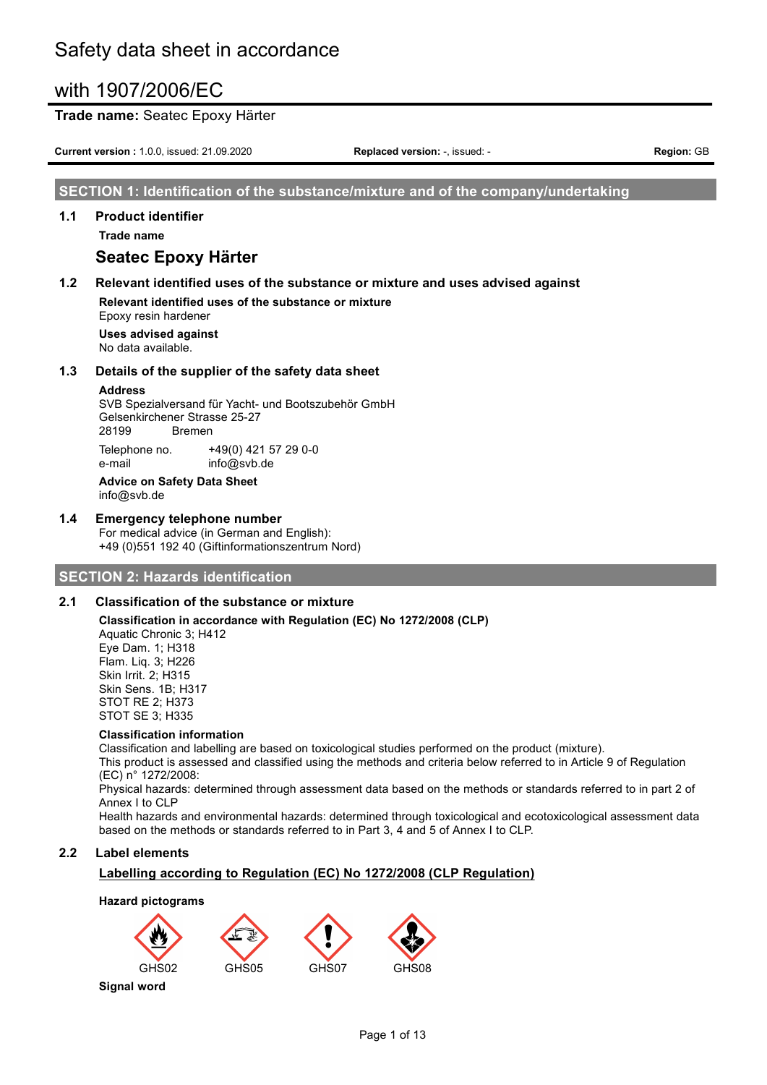## **Trade name:** Seatec Epoxy Härter

**Current version :** 1.0.0, issued: 21.09.2020 **Replaced version:** -, issued: - **Region:** GB

## **SECTION 1: Identification of the substance/mixture and of the company/undertaking**

## **1.1 Product identifier**

**Trade name**

# **Seatec Epoxy Härter**

## **1.2 Relevant identified uses of the substance or mixture and uses advised against**

**Relevant identified uses of the substance or mixture** Epoxy resin hardener

**Uses advised against** No data available.

### **1.3 Details of the supplier of the safety data sheet**

#### **Address**

SVB Spezialversand für Yacht- und Bootszubehör GmbH Gelsenkirchener Strasse 25-27 28199 Bremen Telephone no. +49(0) 421 57 29 0-0

e-mail info@svb.de **Advice on Safety Data Sheet** info@svb.de

# **1.4 Emergency telephone number**

For medical advice (in German and English): +49 (0)551 192 40 (Giftinformationszentrum Nord)

## **SECTION 2: Hazards identification**

## **2.1 Classification of the substance or mixture**

**Classification in accordance with Regulation (EC) No 1272/2008 (CLP)** Aquatic Chronic 3; H412 Eye Dam. 1; H318 Flam. Liq. 3; H226 Skin Irrit. 2; H315 Skin Sens. 1B; H317 STOT RE 2; H373 STOT SE 3; H335

### **Classification information**

Classification and labelling are based on toxicological studies performed on the product (mixture).

This product is assessed and classified using the methods and criteria below referred to in Article 9 of Regulation (EC) n° 1272/2008:

Physical hazards: determined through assessment data based on the methods or standards referred to in part 2 of Annex I to CLP

Health hazards and environmental hazards: determined through toxicological and ecotoxicological assessment data based on the methods or standards referred to in Part 3, 4 and 5 of Annex I to CLP.

## **2.2 Label elements**

# **Labelling according to Regulation (EC) No 1272/2008 (CLP Regulation)**

### **Hazard pictograms**



**Signal word**

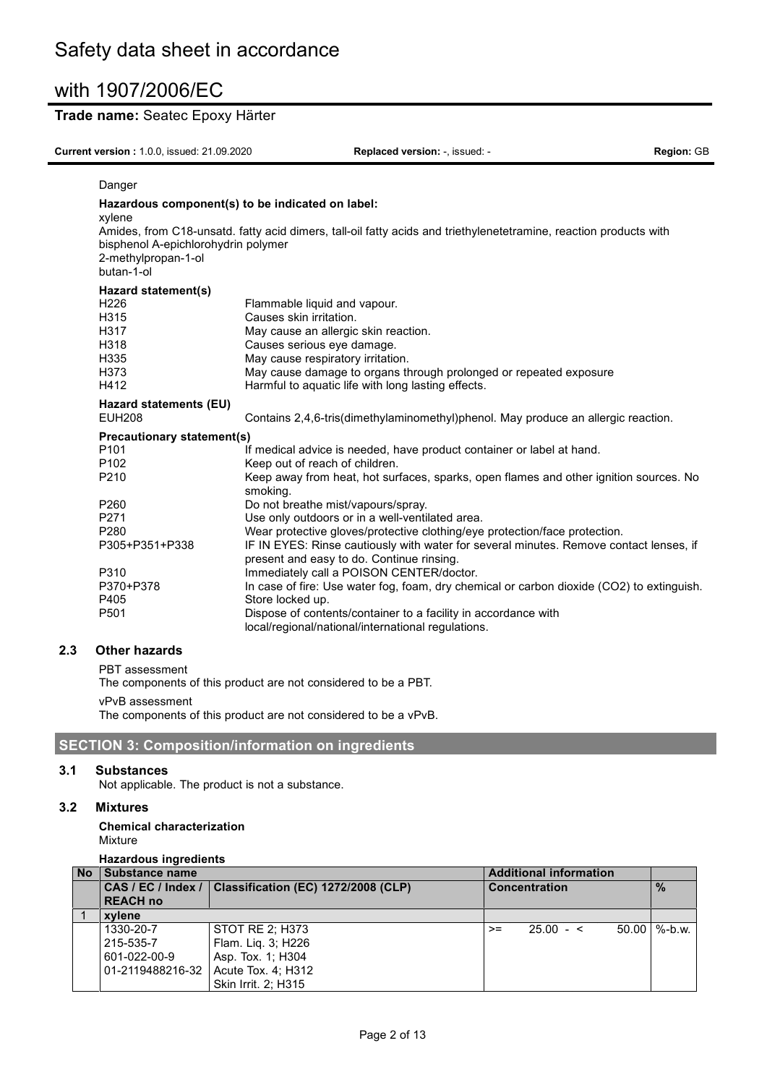# **Trade name:** Seatec Epoxy Härter

**Current version :** 1.0.0, issued: 21.09.2020 **Replaced version:** -, issued: - **Region:** GB

| Danger                                                     |                                                                                                                      |
|------------------------------------------------------------|----------------------------------------------------------------------------------------------------------------------|
| Hazardous component(s) to be indicated on label:<br>xylene |                                                                                                                      |
| bisphenol A-epichlorohydrin polymer<br>2-methylpropan-1-ol | Amides, from C18-unsatd. fatty acid dimers, tall-oil fatty acids and triethylenetetramine, reaction products with    |
| butan-1-ol                                                 |                                                                                                                      |
| Hazard statement(s)                                        |                                                                                                                      |
| H <sub>226</sub>                                           | Flammable liquid and vapour.                                                                                         |
| H315                                                       | Causes skin irritation.                                                                                              |
| H317                                                       | May cause an allergic skin reaction.                                                                                 |
| H318                                                       | Causes serious eye damage.                                                                                           |
| H335                                                       | May cause respiratory irritation.                                                                                    |
| H373                                                       | May cause damage to organs through prolonged or repeated exposure                                                    |
| H412                                                       | Harmful to aquatic life with long lasting effects.                                                                   |
| Hazard statements (EU)                                     |                                                                                                                      |
| <b>EUH208</b>                                              | Contains 2,4,6-tris(dimethylaminomethyl)phenol. May produce an allergic reaction.                                    |
| <b>Precautionary statement(s)</b>                          |                                                                                                                      |
| P <sub>101</sub>                                           | If medical advice is needed, have product container or label at hand.                                                |
| P <sub>102</sub>                                           | Keep out of reach of children.                                                                                       |
| P210                                                       | Keep away from heat, hot surfaces, sparks, open flames and other ignition sources. No<br>smoking.                    |
| P260                                                       | Do not breathe mist/vapours/spray.                                                                                   |
| P271                                                       | Use only outdoors or in a well-ventilated area.                                                                      |
| P <sub>280</sub>                                           | Wear protective gloves/protective clothing/eye protection/face protection.                                           |
| P305+P351+P338                                             | IF IN EYES: Rinse cautiously with water for several minutes. Remove contact lenses, if                               |
|                                                            | present and easy to do. Continue rinsing.                                                                            |
| P310                                                       | Immediately call a POISON CENTER/doctor.                                                                             |
| P370+P378                                                  | In case of fire: Use water fog, foam, dry chemical or carbon dioxide (CO2) to extinguish.                            |
| P405                                                       | Store locked up.                                                                                                     |
| P501                                                       | Dispose of contents/container to a facility in accordance with<br>local/regional/national/international regulations. |

## **2.3 Other hazards**

PBT assessment

The components of this product are not considered to be a PBT.

vPvB assessment

The components of this product are not considered to be a vPvB.

# **SECTION 3: Composition/information on ingredients**

## **3.1 Substances**

Not applicable. The product is not a substance.

### **3.2 Mixtures**

**Chemical characterization** Mixture

**Hazardous ingredients**

| <b>No</b> | Substance name     |                                     |      | <b>Additional information</b> |                    |
|-----------|--------------------|-------------------------------------|------|-------------------------------|--------------------|
|           | CAS / EC / Index / | Classification (EC) 1272/2008 (CLP) |      | <b>Concentration</b>          | $\frac{0}{0}$      |
|           | <b>REACH no</b>    |                                     |      |                               |                    |
|           | xvlene             |                                     |      |                               |                    |
|           | 1330-20-7          | STOT RE 2: H373                     | $>=$ | $25.00 - 5$                   | $50.00$ $\%$ -b.w. |
|           | 215-535-7          | Flam. Lig. 3; H226                  |      |                               |                    |
|           | 601-022-00-9       | Asp. Tox. 1; H304                   |      |                               |                    |
|           | 01-2119488216-32   | Acute Tox. 4; H312                  |      |                               |                    |
|           |                    | Skin Irrit. 2: H315                 |      |                               |                    |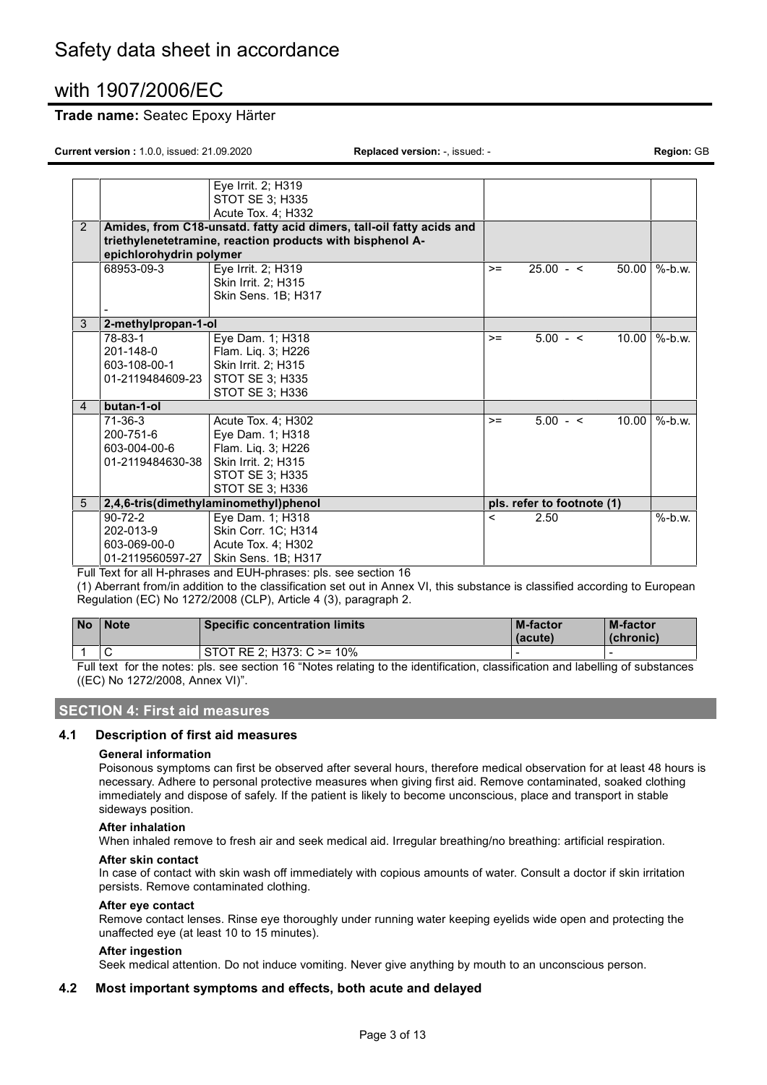# **Trade name:** Seatec Epoxy Härter

**Current version :** 1.0.0, issued: 21.09.2020 **Replaced version:** -, issued: - **Region:** GB

|                |                                                                                                                                    | Eye Irrit. 2; H319<br>STOT SE 3; H335                                                                                                                                                      |                          |                            |                |                 |
|----------------|------------------------------------------------------------------------------------------------------------------------------------|--------------------------------------------------------------------------------------------------------------------------------------------------------------------------------------------|--------------------------|----------------------------|----------------|-----------------|
|                |                                                                                                                                    | Acute Tox. 4; H332                                                                                                                                                                         |                          |                            |                |                 |
| $\overline{2}$ | epichlorohydrin polymer                                                                                                            | Amides, from C18-unsatd. fatty acid dimers, tall-oil fatty acids and<br>triethylenetetramine, reaction products with bisphenol A-                                                          |                          |                            |                |                 |
|                | 68953-09-3                                                                                                                         | Eye Irrit. 2; H319<br>Skin Irrit. 2; H315<br>Skin Sens. 1B; H317                                                                                                                           | $>=$                     | $25.00 - 5$                | 50.00          | $%$ -b w        |
| 3              | 2-methylpropan-1-ol                                                                                                                |                                                                                                                                                                                            |                          |                            |                |                 |
| 4              | 78-83-1<br>201-148-0<br>603-108-00-1<br>01-2119484609-23<br>butan-1-ol<br>71-36-3<br>200-751-6<br>603-004-00-6<br>01-2119484630-38 | Eye Dam. 1; H318<br>Flam. Liq. 3; H226<br>Skin Irrit. 2; H315<br>STOT SE 3; H335<br>STOT SE 3; H336<br>Acute Tox. 4; H302<br>Eye Dam. 1; H318<br>Flam. Liq. 3; H226<br>Skin Irrit. 2; H315 | $>=$<br>$>=$             | $5.00 - <$<br>$5.00 - 5$   | 10.00<br>10.00 | %-b.w<br>%-b.w. |
|                |                                                                                                                                    | STOT SE 3; H335<br>STOT SE 3; H336                                                                                                                                                         |                          |                            |                |                 |
| 5              |                                                                                                                                    | 2,4,6-tris(dimethylaminomethyl)phenol                                                                                                                                                      |                          | pls. refer to footnote (1) |                |                 |
|                | $90 - 72 - 2$<br>202-013-9<br>603-069-00-0<br>01-2119560597-27                                                                     | Eye Dam. 1; H318<br>Skin Corr. 1C; H314<br>Acute Tox. 4; H302<br>Skin Sens. 1B; H317                                                                                                       | $\overline{\phantom{a}}$ | 2.50                       |                | $%$ -b.w.       |

Full Text for all H-phrases and EUH-phrases: pls. see section 16

(1) Aberrant from/in addition to the classification set out in Annex VI, this substance is classified according to European Regulation (EC) No 1272/2008 (CLP), Article 4 (3), paragraph 2.

| <b>No</b> | <i>Note</i> | <b>Specific concentration limits</b> | <b>M-factor</b><br>(acute) | <b>M-factor</b><br>(chronic) |
|-----------|-------------|--------------------------------------|----------------------------|------------------------------|
|           |             | STOT RE 2: H373: $C \ge 10\%$        |                            |                              |

Full text for the notes: pls. see section 16 "Notes relating to the identification, classification and labelling of substances ((EC) No 1272/2008, Annex VI)".

# **SECTION 4: First aid measures**

## **4.1 Description of first aid measures**

### **General information**

Poisonous symptoms can first be observed after several hours, therefore medical observation for at least 48 hours is necessary. Adhere to personal protective measures when giving first aid. Remove contaminated, soaked clothing immediately and dispose of safely. If the patient is likely to become unconscious, place and transport in stable sideways position.

### **After inhalation**

When inhaled remove to fresh air and seek medical aid. Irregular breathing/no breathing: artificial respiration.

#### **After skin contact**

In case of contact with skin wash off immediately with copious amounts of water. Consult a doctor if skin irritation persists. Remove contaminated clothing.

### **After eye contact**

Remove contact lenses. Rinse eye thoroughly under running water keeping eyelids wide open and protecting the unaffected eye (at least 10 to 15 minutes).

### **After ingestion**

Seek medical attention. Do not induce vomiting. Never give anything by mouth to an unconscious person.

### **4.2 Most important symptoms and effects, both acute and delayed**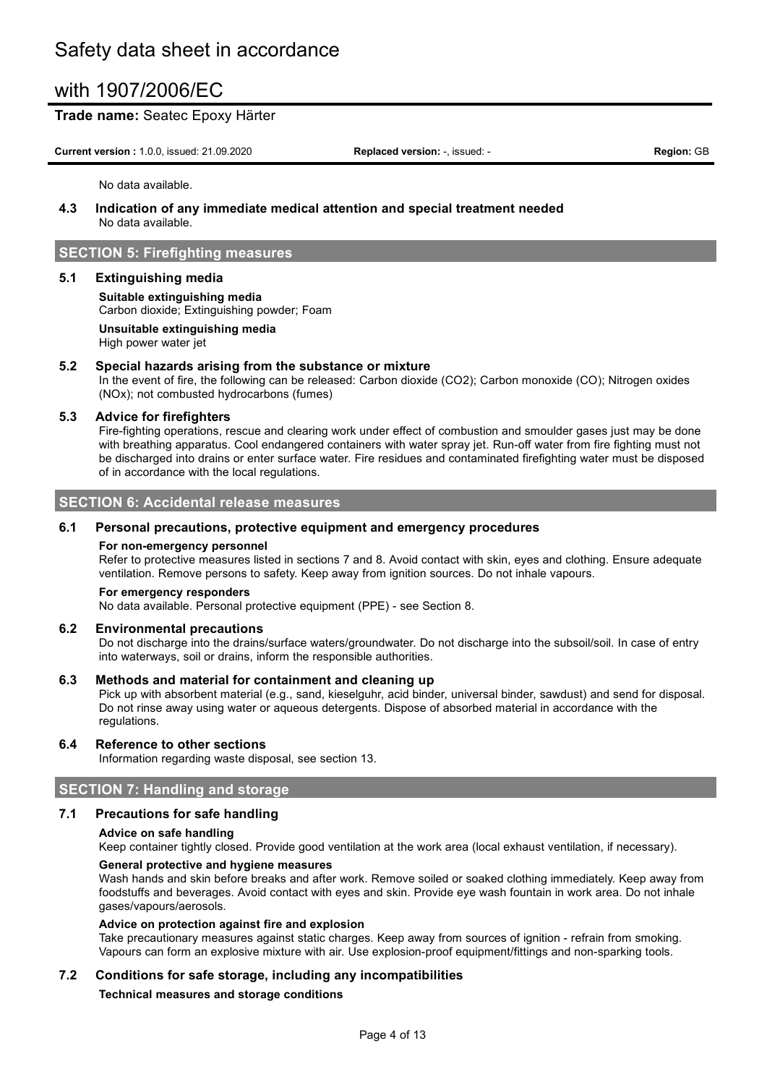## **Trade name:** Seatec Epoxy Härter

**Current version :** 1.0.0, issued: 21.09.2020 **Replaced version:** -, issued: - **Region:** GB

No data available.

## **4.3 Indication of any immediate medical attention and special treatment needed** No data available.

# **SECTION 5: Firefighting measures**

### **5.1 Extinguishing media**

**Suitable extinguishing media** Carbon dioxide; Extinguishing powder; Foam **Unsuitable extinguishing media**

High power water jet

### **5.2 Special hazards arising from the substance or mixture**

In the event of fire, the following can be released: Carbon dioxide (CO2); Carbon monoxide (CO); Nitrogen oxides (NOx); not combusted hydrocarbons (fumes)

## **5.3 Advice for firefighters**

Fire-fighting operations, rescue and clearing work under effect of combustion and smoulder gases just may be done with breathing apparatus. Cool endangered containers with water spray jet. Run-off water from fire fighting must not be discharged into drains or enter surface water. Fire residues and contaminated firefighting water must be disposed of in accordance with the local regulations.

## **SECTION 6: Accidental release measures**

### **6.1 Personal precautions, protective equipment and emergency procedures**

#### **For non-emergency personnel**

Refer to protective measures listed in sections 7 and 8. Avoid contact with skin, eyes and clothing. Ensure adequate ventilation. Remove persons to safety. Keep away from ignition sources. Do not inhale vapours.

#### **For emergency responders**

No data available. Personal protective equipment (PPE) - see Section 8.

### **6.2 Environmental precautions**

Do not discharge into the drains/surface waters/groundwater. Do not discharge into the subsoil/soil. In case of entry into waterways, soil or drains, inform the responsible authorities.

### **6.3 Methods and material for containment and cleaning up**

Pick up with absorbent material (e.g., sand, kieselguhr, acid binder, universal binder, sawdust) and send for disposal. Do not rinse away using water or aqueous detergents. Dispose of absorbed material in accordance with the regulations.

### **6.4 Reference to other sections**

Information regarding waste disposal, see section 13.

## **SECTION 7: Handling and storage**

### **7.1 Precautions for safe handling**

### **Advice on safe handling**

Keep container tightly closed. Provide good ventilation at the work area (local exhaust ventilation, if necessary).

### **General protective and hygiene measures**

Wash hands and skin before breaks and after work. Remove soiled or soaked clothing immediately. Keep away from foodstuffs and beverages. Avoid contact with eyes and skin. Provide eye wash fountain in work area. Do not inhale gases/vapours/aerosols.

### **Advice on protection against fire and explosion**

Take precautionary measures against static charges. Keep away from sources of ignition - refrain from smoking. Vapours can form an explosive mixture with air. Use explosion-proof equipment/fittings and non-sparking tools.

## **7.2 Conditions for safe storage, including any incompatibilities**

### **Technical measures and storage conditions**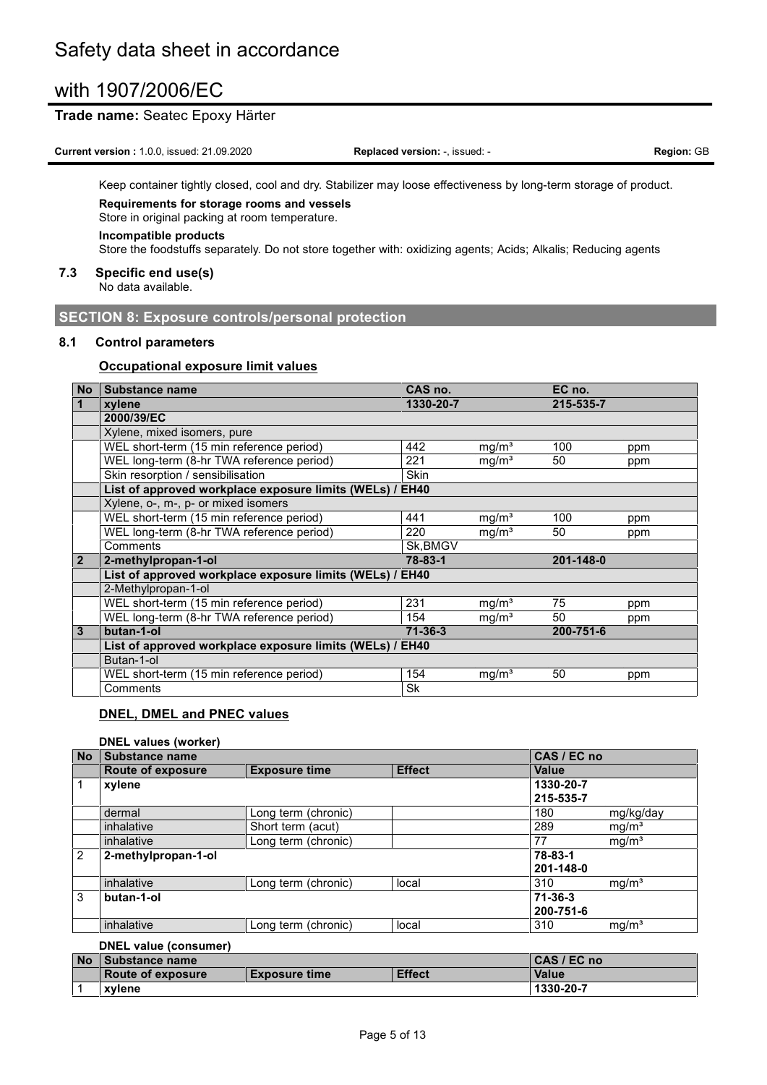# **Trade name:** Seatec Epoxy Härter

**Current version :** 1.0.0, issued: 21.09.2020 **Replaced version:** -, issued: - **Region:** GB

Keep container tightly closed, cool and dry. Stabilizer may loose effectiveness by long-term storage of product.

**Requirements for storage rooms and vessels**

Store in original packing at room temperature.

# **Incompatible products**

Store the foodstuffs separately. Do not store together with: oxidizing agents; Acids; Alkalis; Reducing agents

## **7.3 Specific end use(s)**

No data available.

**SECTION 8: Exposure controls/personal protection**

## **8.1 Control parameters**

# **Occupational exposure limit values**

| <b>No</b>      | <b>Substance name</b>                                    | CAS no.       |                   | EC no.    |     |
|----------------|----------------------------------------------------------|---------------|-------------------|-----------|-----|
| $\mathbf{1}$   | xylene                                                   | 1330-20-7     |                   | 215-535-7 |     |
|                | 2000/39/EC                                               |               |                   |           |     |
|                | Xylene, mixed isomers, pure                              |               |                   |           |     |
|                | WEL short-term (15 min reference period)                 | 442           | mg/m <sup>3</sup> | 100       | ppm |
|                | WEL long-term (8-hr TWA reference period)                | 221           | mg/m <sup>3</sup> | 50        | ppm |
|                | Skin resorption / sensibilisation                        | <b>Skin</b>   |                   |           |     |
|                | List of approved workplace exposure limits (WELs) / EH40 |               |                   |           |     |
|                | Xylene, o-, m-, p- or mixed isomers                      |               |                   |           |     |
|                | WEL short-term (15 min reference period)                 | 441           | mg/m <sup>3</sup> | 100       | ppm |
|                | WEL long-term (8-hr TWA reference period)                | 220           | mg/m <sup>3</sup> | 50        | ppm |
|                | Comments                                                 | Sk, BMGV      |                   |           |     |
| $\overline{2}$ | 2-methylpropan-1-ol                                      | 78-83-1       |                   | 201-148-0 |     |
|                | List of approved workplace exposure limits (WELs) / EH40 |               |                   |           |     |
|                | 2-Methylpropan-1-ol                                      |               |                   |           |     |
|                | WEL short-term (15 min reference period)                 | 231           | mg/m <sup>3</sup> | 75        | ppm |
|                | WEL long-term (8-hr TWA reference period)                | 154           | mg/m <sup>3</sup> | 50        | ppm |
| $\mathbf{3}$   | butan-1-ol                                               | $71 - 36 - 3$ |                   | 200-751-6 |     |
|                | List of approved workplace exposure limits (WELs) / EH40 |               |                   |           |     |
|                | Butan-1-ol                                               |               |                   |           |     |
|                | WEL short-term (15 min reference period)                 | 154           | mg/m <sup>3</sup> | 50        | ppm |
|                | Comments                                                 | <b>Sk</b>     |                   |           |     |

## **DNEL, DMEL and PNEC values**

### **DNEL values (worker)**

| <b>No</b> | Substance name        |                      |               | CAS / EC no   |                   |
|-----------|-----------------------|----------------------|---------------|---------------|-------------------|
|           | Route of exposure     | <b>Exposure time</b> | <b>Effect</b> | Value         |                   |
|           | xylene                |                      |               | 1330-20-7     |                   |
|           |                       |                      |               | 215-535-7     |                   |
|           | dermal                | Long term (chronic)  |               | 180           | mg/kg/day         |
|           | inhalative            | Short term (acut)    |               | 289           | mg/m <sup>3</sup> |
|           | inhalative            | Long term (chronic)  |               | 77            | mg/m <sup>3</sup> |
| 2         | 2-methylpropan-1-ol   |                      |               | 78-83-1       |                   |
|           |                       |                      |               | 201-148-0     |                   |
|           | inhalative            | Long term (chronic)  | local         | 310           | mg/m <sup>3</sup> |
| 3         | butan-1-ol            |                      |               | $71 - 36 - 3$ |                   |
|           |                       |                      |               | 200-751-6     |                   |
|           | inhalative            | Long term (chronic)  | local         | 310           | mg/m <sup>3</sup> |
|           | DNEL value (consumer) |                      |               |               |                   |

|           | <b>PITLE VAIDS (CONSUMING)</b> |                      |               |              |
|-----------|--------------------------------|----------------------|---------------|--------------|
| <b>No</b> | l Substance name               |                      |               | CAS / EC no  |
|           | Route of exposure              | <b>Exposure time</b> | <b>Effect</b> | <b>Value</b> |
|           | xvlene                         |                      |               | 1330-20-7    |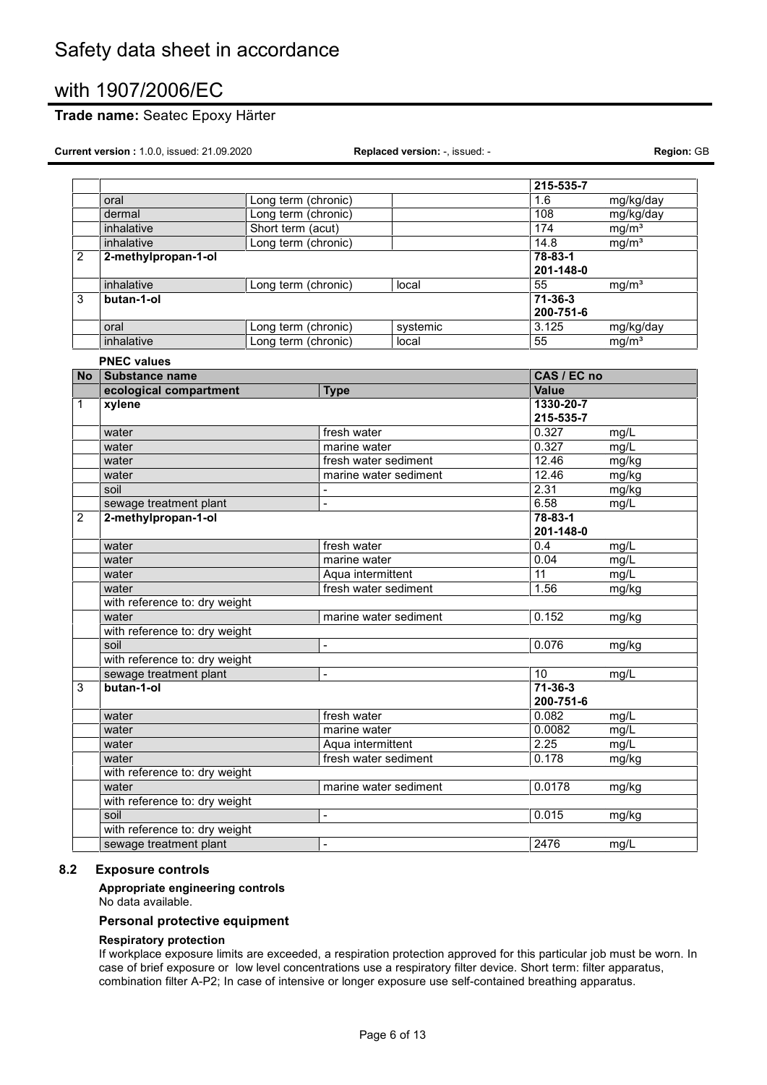# **Trade name:** Seatec Epoxy Härter

**Current version :** 1.0.0, issued: 21.09.2020 **Replaced version:** -, issued: - **Region:** GB

|   |                     |                     |          | 215-535-7 |                   |
|---|---------------------|---------------------|----------|-----------|-------------------|
|   | oral                | Long term (chronic) |          | 1.6       | mg/kg/day         |
|   | dermal              | Long term (chronic) |          | 108       | mg/kg/day         |
|   | inhalative          | Short term (acut)   |          | 174       | mg/m <sup>3</sup> |
|   | inhalative          | Long term (chronic) |          | 14.8      | mg/m <sup>3</sup> |
| 2 | 2-methylpropan-1-ol |                     |          | 78-83-1   |                   |
|   |                     |                     |          | 201-148-0 |                   |
|   | inhalative          | Long term (chronic) | local    | 55        | mg/m <sup>3</sup> |
| 3 | butan-1-ol          |                     |          | 71-36-3   |                   |
|   |                     |                     |          | 200-751-6 |                   |
|   | oral                | Long term (chronic) | systemic | 3.125     | mg/kg/day         |
|   | inhalative          | Long term (chronic) | local    | 55        | mg/m <sup>3</sup> |

#### **PNEC values**

| <b>No</b>      | <b>Substance name</b>         |                          | CAS / EC no     |       |
|----------------|-------------------------------|--------------------------|-----------------|-------|
|                | ecological compartment        | <b>Type</b>              | <b>Value</b>    |       |
| $\mathbf{1}$   | xylene                        |                          | 1330-20-7       |       |
|                |                               |                          | 215-535-7       |       |
|                | water                         | fresh water              | 0.327           | mg/L  |
|                | water                         | marine water             | 0.327           | mg/L  |
|                | water                         | fresh water sediment     | 12.46           | mg/kg |
|                | water                         | marine water sediment    | 12.46           | mg/kg |
|                | soil                          |                          | 2.31            | mg/kg |
|                | sewage treatment plant        | $\overline{a}$           | 6.58            | mg/L  |
| $\overline{2}$ | 2-methylpropan-1-ol           |                          | 78-83-1         |       |
|                |                               |                          | 201-148-0       |       |
|                | water                         | fresh water              | 0.4             | mg/L  |
|                | water                         | marine water             | 0.04            | mg/L  |
|                | water                         | Aqua intermittent        | $\overline{11}$ | mg/L  |
|                | water                         | fresh water sediment     | 1.56            | mg/kg |
|                | with reference to: dry weight |                          |                 |       |
|                | water                         | marine water sediment    | 0.152           | mg/kg |
|                | with reference to: dry weight |                          |                 |       |
|                | soil                          | $\overline{\phantom{0}}$ | 0.076           | mg/kg |
|                | with reference to: dry weight |                          |                 |       |
|                | sewage treatment plant        | $\overline{\phantom{0}}$ | 10              | mg/L  |
| 3              | butan-1-ol                    |                          | $71 - 36 - 3$   |       |
|                |                               |                          | 200-751-6       |       |
|                | water                         | fresh water              | 0.082           | mg/L  |
|                | water                         | marine water             | 0.0082          | mg/L  |
|                | water                         | Aqua intermittent        | 2.25            | mg/L  |
|                | water                         | fresh water sediment     | 0.178           | mg/kg |
|                | with reference to: dry weight |                          |                 |       |
|                | water                         | marine water sediment    | 0.0178          | mg/kg |
|                | with reference to: dry weight |                          |                 |       |
|                | soil                          | $\overline{a}$           | 0.015           | mg/kg |
|                | with reference to: dry weight |                          |                 |       |
|                | sewage treatment plant        | $\overline{\phantom{0}}$ | 2476            | mg/L  |

## **8.2 Exposure controls**

#### **Appropriate engineering controls** No data available.

## **Personal protective equipment**

## **Respiratory protection**

If workplace exposure limits are exceeded, a respiration protection approved for this particular job must be worn. In case of brief exposure or low level concentrations use a respiratory filter device. Short term: filter apparatus, combination filter A-P2; In case of intensive or longer exposure use self-contained breathing apparatus.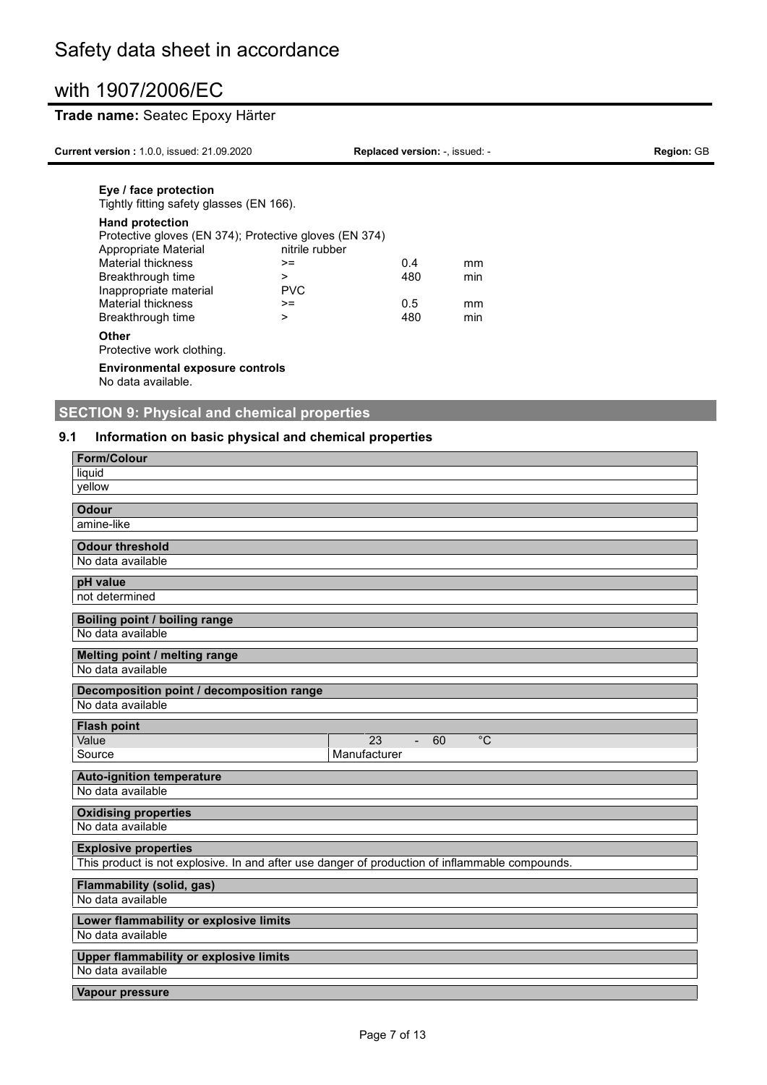# **Trade name:** Seatec Epoxy Härter

|                                                                  | Replaced version: -, issued: -                                                     |                                                        | <b>Region: GB</b> |
|------------------------------------------------------------------|------------------------------------------------------------------------------------|--------------------------------------------------------|-------------------|
|                                                                  |                                                                                    |                                                        |                   |
| nitrile rubber<br>$>=$<br>$\geq$<br><b>PVC</b><br>$>=$<br>$\geq$ | 0.4<br>480<br>0.5<br>480                                                           | mm<br>min<br>mm<br>min                                 |                   |
|                                                                  |                                                                                    |                                                        |                   |
|                                                                  |                                                                                    |                                                        |                   |
|                                                                  | Tightly fitting safety glasses (EN 166).<br><b>Environmental exposure controls</b> | Protective gloves (EN 374); Protective gloves (EN 374) |                   |

# **SECTION 9: Physical and chemical properties 9.1 Information on basic physical and chemical properties**

| <b>Form/Colour</b>                                                                             |                                                        |
|------------------------------------------------------------------------------------------------|--------------------------------------------------------|
| liquid                                                                                         |                                                        |
| yellow                                                                                         |                                                        |
| <b>Odour</b>                                                                                   |                                                        |
| amine-like                                                                                     |                                                        |
| <b>Odour threshold</b>                                                                         |                                                        |
| No data available                                                                              |                                                        |
| pH value                                                                                       |                                                        |
| not determined                                                                                 |                                                        |
| Boiling point / boiling range                                                                  |                                                        |
| No data available                                                                              |                                                        |
| Melting point / melting range                                                                  |                                                        |
| No data available                                                                              |                                                        |
| Decomposition point / decomposition range                                                      |                                                        |
| No data available                                                                              |                                                        |
| <b>Flash point</b>                                                                             |                                                        |
| Value                                                                                          | $\overline{C}$<br>23<br>60<br>$\overline{\phantom{0}}$ |
| Source                                                                                         | Manufacturer                                           |
| <b>Auto-ignition temperature</b>                                                               |                                                        |
| No data available                                                                              |                                                        |
| <b>Oxidising properties</b>                                                                    |                                                        |
| No data available                                                                              |                                                        |
| <b>Explosive properties</b>                                                                    |                                                        |
| This product is not explosive. In and after use danger of production of inflammable compounds. |                                                        |
| <b>Flammability (solid, gas)</b>                                                               |                                                        |
| No data available                                                                              |                                                        |
| Lower flammability or explosive limits                                                         |                                                        |
| No data available                                                                              |                                                        |
| <b>Upper flammability or explosive limits</b>                                                  |                                                        |
| No data available                                                                              |                                                        |
| <b>Vapour pressure</b>                                                                         |                                                        |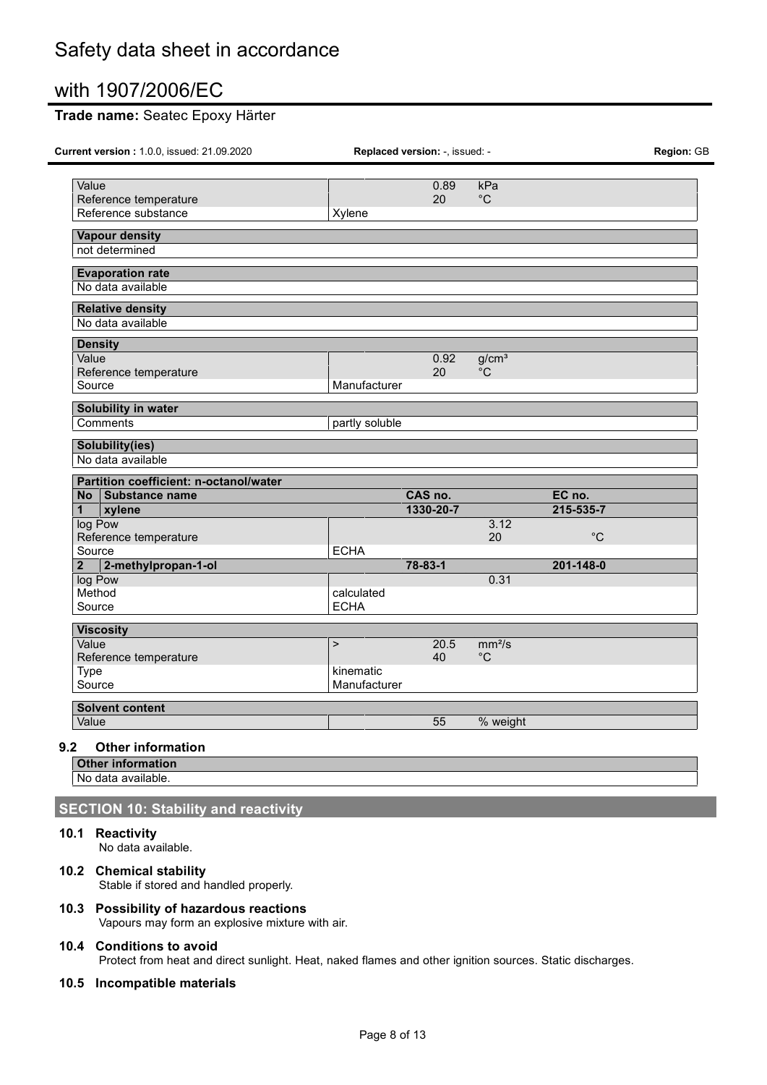# **Trade name:** Seatec Epoxy Härter

| Current version: 1.0.0, issued: 21.09.2020      | Replaced version: -, issued: - |               |                                   |              | Region: GB |
|-------------------------------------------------|--------------------------------|---------------|-----------------------------------|--------------|------------|
| Value                                           |                                | 0.89          | kPa                               |              |            |
| Reference temperature                           |                                | 20            | $^{\circ}$ C                      |              |            |
| Reference substance                             | Xylene                         |               |                                   |              |            |
| <b>Vapour density</b>                           |                                |               |                                   |              |            |
| not determined                                  |                                |               |                                   |              |            |
| <b>Evaporation rate</b>                         |                                |               |                                   |              |            |
| No data available                               |                                |               |                                   |              |            |
| <b>Relative density</b>                         |                                |               |                                   |              |            |
| No data available                               |                                |               |                                   |              |            |
| <b>Density</b>                                  |                                |               |                                   |              |            |
| Value<br>Reference temperature                  |                                | 0.92<br>20    | g/cm <sup>3</sup><br>$^{\circ}$ C |              |            |
| Source                                          | Manufacturer                   |               |                                   |              |            |
| Solubility in water                             |                                |               |                                   |              |            |
| <b>Comments</b>                                 | partly soluble                 |               |                                   |              |            |
| Solubility(ies)                                 |                                |               |                                   |              |            |
| No data available                               |                                |               |                                   |              |            |
| Partition coefficient: n-octanol/water          |                                |               |                                   |              |            |
| No Substance name                               |                                | CAS no.       |                                   | EC no.       |            |
|                                                 |                                | 1330-20-7     |                                   | 215-535-7    |            |
| xylene<br>1                                     |                                |               |                                   |              |            |
| log Pow                                         |                                |               | 3.12                              |              |            |
| Reference temperature                           | <b>ECHA</b>                    |               | 20                                | $^{\circ}$ C |            |
| Source<br>2-methylpropan-1-ol<br>$\overline{2}$ |                                | $78 - 83 - 1$ |                                   | 201-148-0    |            |
| log Pow                                         |                                |               | 0.31                              |              |            |
| Method                                          | calculated                     |               |                                   |              |            |
| Source                                          | <b>ECHA</b>                    |               |                                   |              |            |
| <b>Viscosity</b>                                |                                |               |                                   |              |            |
| Value                                           | $\mathbf{r}$                   | 20.5          | mm <sup>2</sup> /s                |              |            |
| Reference temperature<br>Type                   | kinematic                      | 40            | $^{\circ}$ C                      |              |            |
| Source                                          | Manufacturer                   |               |                                   |              |            |
| <b>Solvent content</b><br>Value                 |                                |               | % weight                          |              |            |

**Other information** No data available.

# **SECTION 10: Stability and reactivity**

## **10.1 Reactivity**

No data available.

## **10.2 Chemical stability**

Stable if stored and handled properly.

## **10.3 Possibility of hazardous reactions**

Vapours may form an explosive mixture with air.

## **10.4 Conditions to avoid**

Protect from heat and direct sunlight. Heat, naked flames and other ignition sources. Static discharges.

## **10.5 Incompatible materials**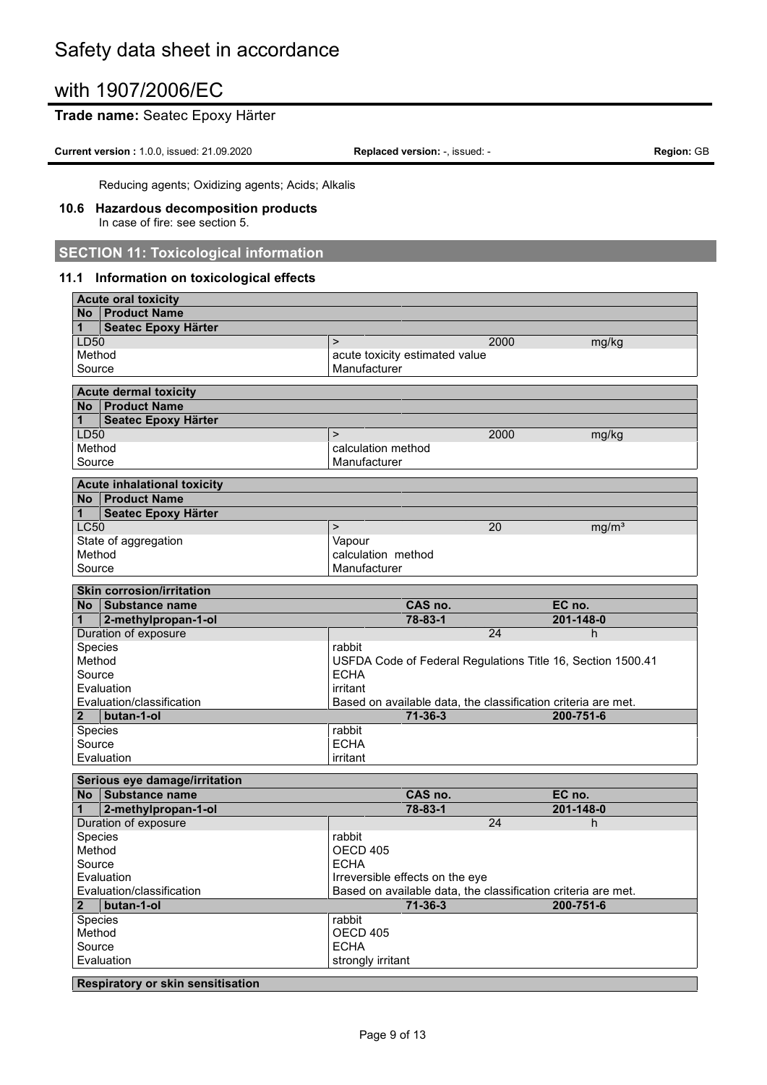# **Trade name:** Seatec Epoxy Härter

**Current version :** 1.0.0, issued: 21.09.2020 **Replaced version:** -, issued: - **Region:** GB

Reducing agents; Oxidizing agents; Acids; Alkalis

### **10.6 Hazardous decomposition products** In case of fire: see section 5.

# **SECTION 11: Toxicological information**

## **11.1 Information on toxicological effects**

| <b>Acute oral toxicity</b>              |                         |                                                                                |                   |
|-----------------------------------------|-------------------------|--------------------------------------------------------------------------------|-------------------|
| <b>Product Name</b><br><b>No</b>        |                         |                                                                                |                   |
| <b>Seatec Epoxy Härter</b><br>1         |                         |                                                                                |                   |
| LD50                                    | $\, > \,$               | 2000                                                                           | mg/kg             |
| Method                                  |                         | acute toxicity estimated value                                                 |                   |
| Source                                  | Manufacturer            |                                                                                |                   |
| <b>Acute dermal toxicity</b>            |                         |                                                                                |                   |
| <b>Product Name</b><br><b>No</b>        |                         |                                                                                |                   |
| <b>Seatec Epoxy Härter</b><br>1         |                         |                                                                                |                   |
| LD50                                    | $\mathbf{I}$            | 2000                                                                           |                   |
| Method                                  |                         | calculation method                                                             | mg/kg             |
| Source                                  | Manufacturer            |                                                                                |                   |
|                                         |                         |                                                                                |                   |
| <b>Acute inhalational toxicity</b>      |                         |                                                                                |                   |
| <b>Product Name</b><br><b>No</b>        |                         |                                                                                |                   |
| <b>Seatec Epoxy Härter</b><br>1         |                         |                                                                                |                   |
| <b>LC50</b>                             | $\,>$                   | 20                                                                             | mg/m <sup>3</sup> |
| State of aggregation                    | Vapour                  |                                                                                |                   |
| Method                                  |                         | calculation method                                                             |                   |
| Source                                  | Manufacturer            |                                                                                |                   |
| <b>Skin corrosion/irritation</b>        |                         |                                                                                |                   |
|                                         |                         |                                                                                |                   |
| <b>No</b><br><b>Substance name</b>      |                         | CAS no.                                                                        | EC no.            |
| 1<br>2-methylpropan-1-ol                |                         | 78-83-1                                                                        | 201-148-0         |
| Duration of exposure                    |                         | 24                                                                             | h                 |
| Species                                 | rabbit                  |                                                                                |                   |
| Method                                  |                         | USFDA Code of Federal Regulations Title 16, Section 1500.41                    |                   |
| Source                                  | <b>ECHA</b><br>irritant |                                                                                |                   |
| Evaluation<br>Evaluation/classification |                         |                                                                                |                   |
| $\overline{2}$<br>butan-1-ol            |                         | Based on available data, the classification criteria are met.<br>$71 - 36 - 3$ | 200-751-6         |
|                                         | rabbit                  |                                                                                |                   |
| Species<br>Source                       | <b>ECHA</b>             |                                                                                |                   |
|                                         |                         |                                                                                |                   |
| Evaluation                              | irritant                |                                                                                |                   |
| Serious eye damage/irritation           |                         |                                                                                |                   |
| <b>Substance name</b><br><b>No</b>      |                         | CAS no.                                                                        | EC no.            |
| 1<br>2-methylpropan-1-ol                |                         | 78-83-1                                                                        | $201 - 148 - 0$   |
| Duration of exposure                    |                         | 24                                                                             | h                 |
| Species                                 | rabbit                  |                                                                                |                   |
| Method                                  | <b>OECD 405</b>         |                                                                                |                   |
| Source                                  | <b>ECHA</b>             |                                                                                |                   |
| Evaluation                              |                         | Irreversible effects on the eye                                                |                   |
| Evaluation/classification               |                         | Based on available data, the classification criteria are met.                  |                   |
| $\overline{2}$<br>butan-1-ol            |                         | $71 - 36 - 3$                                                                  | 200-751-6         |
| Species                                 | rabbit                  |                                                                                |                   |
| Method                                  | OECD 405                |                                                                                |                   |
| Source                                  | <b>ECHA</b>             |                                                                                |                   |
| Evaluation                              |                         | strongly irritant                                                              |                   |
| Respiratory or skin sensitisation       |                         |                                                                                |                   |
|                                         |                         |                                                                                |                   |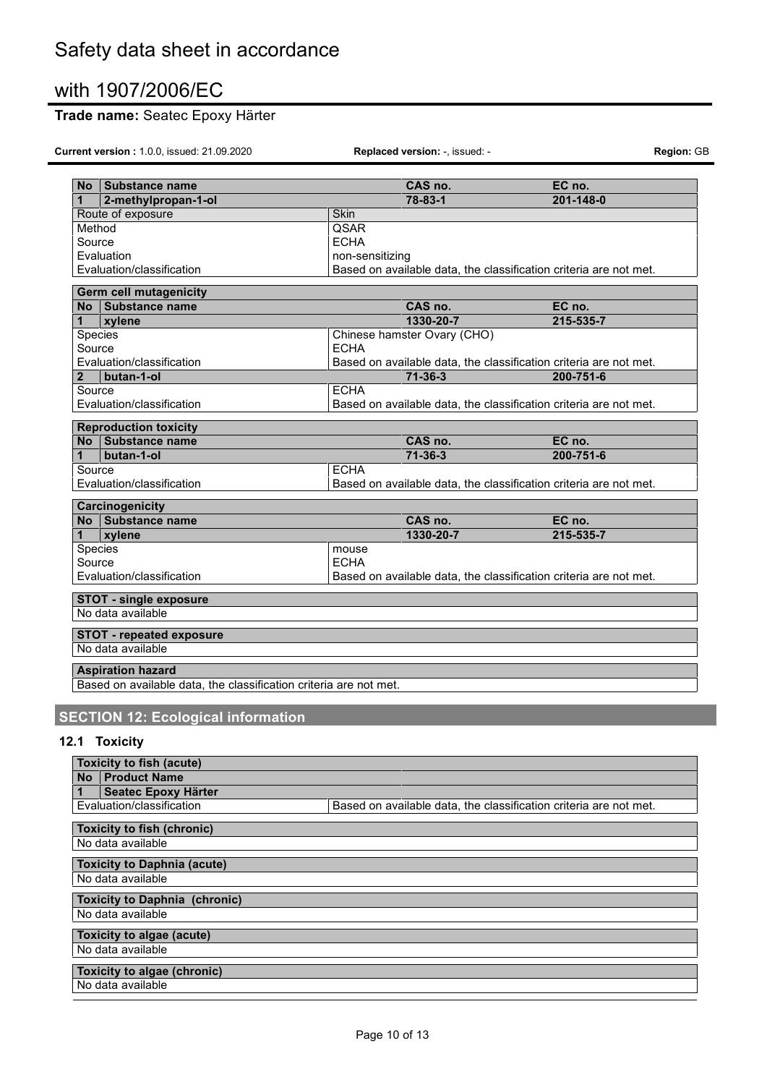# **Trade name:** Seatec Epoxy Härter

**Current version :** 1.0.0, issued: 21.09.2020 **Replaced version:** -, issued: - **Region:** GB

| Substance name<br>No.                                                                         | CAS no.                                                           | EC no.    |
|-----------------------------------------------------------------------------------------------|-------------------------------------------------------------------|-----------|
| 1<br>2-methylpropan-1-ol                                                                      | 78-83-1                                                           | 201-148-0 |
| Route of exposure                                                                             | Skin                                                              |           |
| Method                                                                                        | <b>QSAR</b>                                                       |           |
| Source                                                                                        | <b>FCHA</b>                                                       |           |
| Evaluation                                                                                    | non-sensitizing                                                   |           |
| Evaluation/classification                                                                     | Based on available data, the classification criteria are not met. |           |
|                                                                                               |                                                                   |           |
| <b>Germ cell mutagenicity</b>                                                                 |                                                                   |           |
| Substance name<br>No.                                                                         | CAS no.                                                           | EC no.    |
| 1<br>xvlene                                                                                   | 1330-20-7                                                         | 215-535-7 |
| Species                                                                                       | Chinese hamster Ovary (CHO)                                       |           |
| Source                                                                                        | <b>ECHA</b>                                                       |           |
| Evaluation/classification                                                                     | Based on available data, the classification criteria are not met. |           |
| $\mathbf{2}$<br>butan-1-ol                                                                    | $71 - 36 - 3$                                                     | 200-751-6 |
| Source                                                                                        | <b>ECHA</b>                                                       |           |
| Evaluation/classification                                                                     | Based on available data, the classification criteria are not met. |           |
| <b>Reproduction toxicity</b>                                                                  |                                                                   |           |
| Substance name<br><b>No</b>                                                                   | CAS no.                                                           | EC no.    |
| butan-1-ol<br>1                                                                               | $71 - 36 - 3$                                                     | 200-751-6 |
| Source                                                                                        | <b>ECHA</b>                                                       |           |
| Evaluation/classification                                                                     | Based on available data, the classification criteria are not met. |           |
| Carcinogenicity                                                                               |                                                                   |           |
|                                                                                               |                                                                   |           |
|                                                                                               |                                                                   |           |
| No Substance name                                                                             | CAS no.                                                           | EC no.    |
| 1<br>xylene                                                                                   | 1330-20-7                                                         | 215-535-7 |
| Species                                                                                       | mouse                                                             |           |
| Source                                                                                        | <b>FCHA</b>                                                       |           |
| Evaluation/classification                                                                     | Based on available data, the classification criteria are not met. |           |
| <b>STOT - single exposure</b>                                                                 |                                                                   |           |
| No data available                                                                             |                                                                   |           |
|                                                                                               |                                                                   |           |
| STOT - repeated exposure<br>No data available                                                 |                                                                   |           |
|                                                                                               |                                                                   |           |
| <b>Aspiration hazard</b><br>Based on available data, the classification criteria are not met. |                                                                   |           |

# **SECTION 12: Ecological information**

# **12.1 Toxicity**

|                | Toxicity to fish (acute)                        |                                                                   |  |
|----------------|-------------------------------------------------|-------------------------------------------------------------------|--|
| No <b>No</b>   | <b>Product Name</b>                             |                                                                   |  |
| $\overline{1}$ | <b>Seatec Epoxy Härter</b>                      |                                                                   |  |
|                | Evaluation/classification                       | Based on available data, the classification criteria are not met. |  |
|                | Toxicity to fish (chronic)<br>No data available |                                                                   |  |
|                | <b>Toxicity to Daphnia (acute)</b>              |                                                                   |  |
|                | No data available                               |                                                                   |  |
|                | <b>Toxicity to Daphnia (chronic)</b>            |                                                                   |  |
|                | No data available                               |                                                                   |  |
|                | Toxicity to algae (acute)                       |                                                                   |  |
|                | No data available                               |                                                                   |  |
|                | <b>Toxicity to algae (chronic)</b>              |                                                                   |  |
|                | No data available                               |                                                                   |  |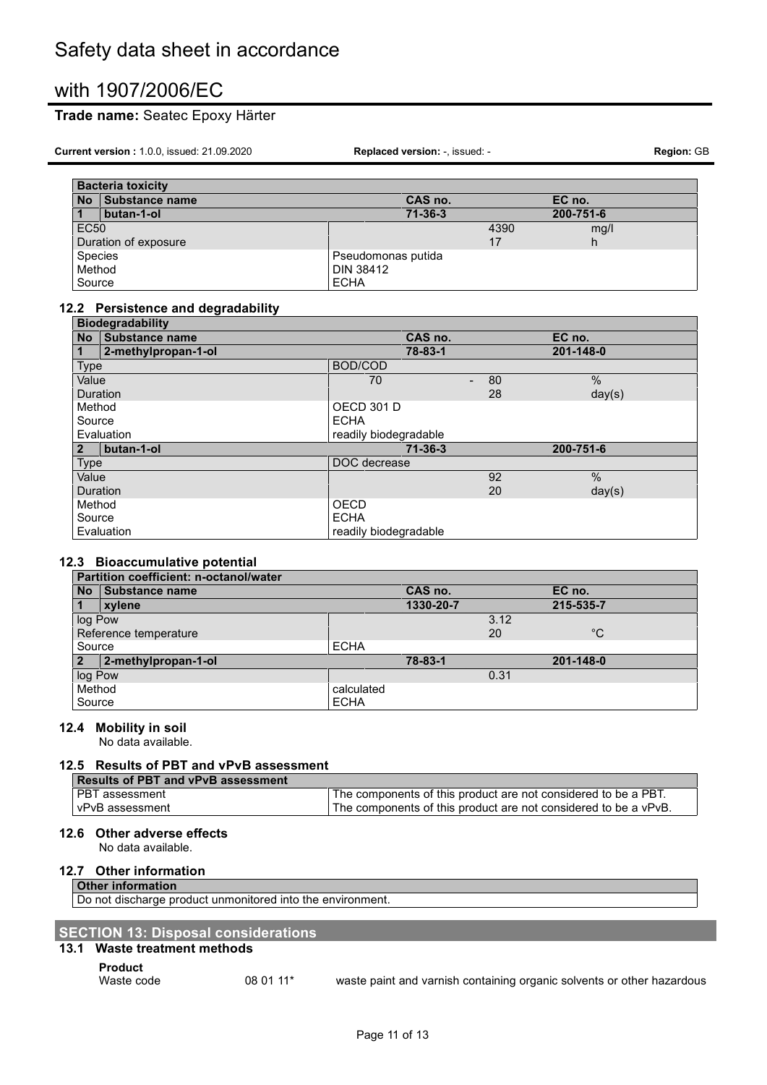# **Trade name:** Seatec Epoxy Härter

**Current version :** 1.0.0, issued: 21.09.2020 **Replaced version:** -, issued: - **Region:** GB

|                  | <b>Bacteria toxicity</b> |                    |      |           |  |
|------------------|--------------------------|--------------------|------|-----------|--|
| <b>No</b>        | Substance name           | CAS no.            |      | EC no.    |  |
|                  | butan-1-ol               | $71 - 36 - 3$      |      | 200-751-6 |  |
| EC <sub>50</sub> |                          |                    | 4390 | mg/l      |  |
|                  | Duration of exposure     |                    | 17   | h         |  |
| Species          |                          | Pseudomonas putida |      |           |  |
| Method           |                          | <b>DIN 38412</b>   |      |           |  |
| Source           |                          | <b>ECHA</b>        |      |           |  |

## **12.2 Persistence and degradability**

| <b>Biodegradability</b>     |                       |    |               |
|-----------------------------|-----------------------|----|---------------|
| Substance name<br><b>No</b> | CAS no.               |    | EC no.        |
| 2-methylpropan-1-ol         | $78 - 83 - 1$         |    | 201-148-0     |
| Type                        | BOD/COD               |    |               |
| Value                       | 70                    | 80 | $\frac{0}{0}$ |
| Duration                    |                       | 28 | day(s)        |
| Method                      | <b>OECD 301 D</b>     |    |               |
| Source                      | <b>ECHA</b>           |    |               |
| Evaluation                  | readily biodegradable |    |               |
| butan-1-ol                  | $71 - 36 - 3$         |    | 200-751-6     |
| <b>Type</b>                 | DOC decrease          |    |               |
| Value                       |                       | 92 | $\frac{0}{0}$ |
| Duration                    |                       | 20 | day(s)        |
| Method                      | OECD                  |    |               |
| Source                      | <b>ECHA</b>           |    |               |
| Evaluation                  | readily biodegradable |    |               |

## **12.3 Bioaccumulative potential**

|         | Partition coefficient: n-octanol/water |             |           |      |             |  |
|---------|----------------------------------------|-------------|-----------|------|-------------|--|
|         | No Substance name                      |             | CAS no.   |      | EC no.      |  |
|         | xylene                                 |             | 1330-20-7 |      | 215-535-7   |  |
| log Pow |                                        |             |           | 3.12 |             |  |
|         | Reference temperature                  |             |           | 20   | $^{\circ}C$ |  |
| Source  |                                        | <b>ECHA</b> |           |      |             |  |
|         | 2-methylpropan-1-ol                    |             | 78-83-1   |      | 201-148-0   |  |
| log Pow |                                        |             |           | 0.31 |             |  |
| Method  |                                        | calculated  |           |      |             |  |
| Source  |                                        | <b>ECHA</b> |           |      |             |  |

## **12.4 Mobility in soil**

No data available.

## **12.5 Results of PBT and vPvB assessment**

| <b>Results of PBT and vPvB assessment</b> |                                                                 |
|-------------------------------------------|-----------------------------------------------------------------|
| <b>PBT</b> assessment                     | The components of this product are not considered to be a PBT.  |
| vPvB assessment                           | The components of this product are not considered to be a vPvB. |

## **12.6 Other adverse effects**

No data available.

### **12.7 Other information**

### **Other information**

Do not discharge product unmonitored into the environment.

# **SECTION 13: Disposal considerations**

# **13.1 Waste treatment methods**

**Product**

08 01 11\* waste paint and varnish containing organic solvents or other hazardous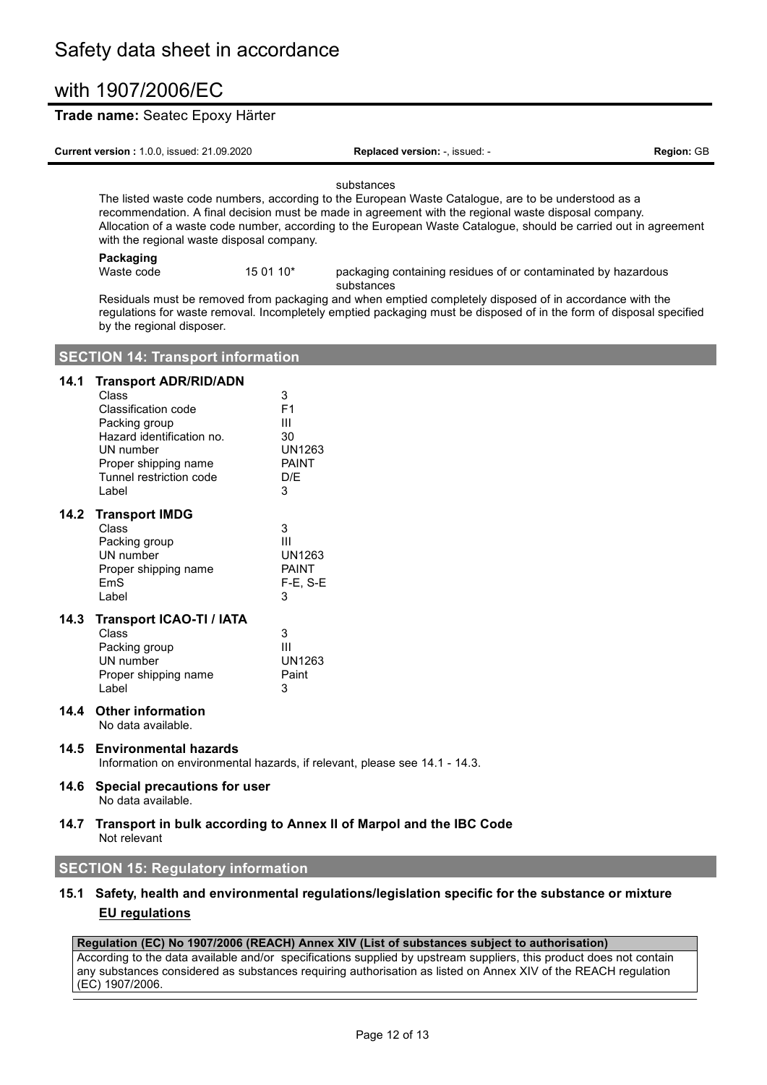$\mathbf{r}$ 

# **Trade name:** Seatec Epoxy Härter

|      | Current version: 1.0.0, issued: 21.09.2020                                                                                                                                                 |                                                                          | Replaced version: -, issued: -                                                                                                                                                                                                                                                                                                                                                                                                                                                                                                                                                                                                                                 | Region: GB |
|------|--------------------------------------------------------------------------------------------------------------------------------------------------------------------------------------------|--------------------------------------------------------------------------|----------------------------------------------------------------------------------------------------------------------------------------------------------------------------------------------------------------------------------------------------------------------------------------------------------------------------------------------------------------------------------------------------------------------------------------------------------------------------------------------------------------------------------------------------------------------------------------------------------------------------------------------------------------|------------|
|      | with the regional waste disposal company.<br>Packaging<br>Waste code                                                                                                                       | 15 01 10*                                                                | substances<br>The listed waste code numbers, according to the European Waste Catalogue, are to be understood as a<br>recommendation. A final decision must be made in agreement with the regional waste disposal company.<br>Allocation of a waste code number, according to the European Waste Catalogue, should be carried out in agreement<br>packaging containing residues of or contaminated by hazardous<br>substances<br>Residuals must be removed from packaging and when emptied completely disposed of in accordance with the<br>regulations for waste removal. Incompletely emptied packaging must be disposed of in the form of disposal specified |            |
|      | by the regional disposer.                                                                                                                                                                  |                                                                          |                                                                                                                                                                                                                                                                                                                                                                                                                                                                                                                                                                                                                                                                |            |
|      | <b>SECTION 14: Transport information</b>                                                                                                                                                   |                                                                          |                                                                                                                                                                                                                                                                                                                                                                                                                                                                                                                                                                                                                                                                |            |
| 14.1 | <b>Transport ADR/RID/ADN</b><br><b>Class</b><br>Classification code<br>Packing group<br>Hazard identification no.<br>UN number<br>Proper shipping name<br>Tunnel restriction code<br>Label | 3<br>F1<br>III<br>30<br>UN1263<br><b>PAINT</b><br>D/E<br>3               |                                                                                                                                                                                                                                                                                                                                                                                                                                                                                                                                                                                                                                                                |            |
| 14.2 | <b>Transport IMDG</b><br><b>Class</b><br>Packing group<br>UN number<br>Proper shipping name<br>EmS<br>Label                                                                                | 3<br>$\mathbf{III}$<br><b>UN1263</b><br><b>PAINT</b><br>$F-E$ , S-E<br>3 |                                                                                                                                                                                                                                                                                                                                                                                                                                                                                                                                                                                                                                                                |            |
| 14.3 | <b>Transport ICAO-TI / IATA</b><br>Class<br>Packing group<br>UN number<br>Proper shipping name<br>Label                                                                                    | 3<br>III<br><b>UN1263</b><br>Paint<br>3                                  |                                                                                                                                                                                                                                                                                                                                                                                                                                                                                                                                                                                                                                                                |            |
| 14.4 | <b>Other information</b><br>No data available.                                                                                                                                             |                                                                          |                                                                                                                                                                                                                                                                                                                                                                                                                                                                                                                                                                                                                                                                |            |
| 14.5 | <b>Environmental hazards</b>                                                                                                                                                               |                                                                          | Information on environmental hazards, if relevant, please see 14.1 - 14.3.                                                                                                                                                                                                                                                                                                                                                                                                                                                                                                                                                                                     |            |
| 14.6 | Special precautions for user<br>No data available.                                                                                                                                         |                                                                          |                                                                                                                                                                                                                                                                                                                                                                                                                                                                                                                                                                                                                                                                |            |
| 14.7 | Not relevant                                                                                                                                                                               |                                                                          | Transport in bulk according to Annex II of Marpol and the IBC Code                                                                                                                                                                                                                                                                                                                                                                                                                                                                                                                                                                                             |            |
|      | <b>SECTION 15: Regulatory information</b>                                                                                                                                                  |                                                                          |                                                                                                                                                                                                                                                                                                                                                                                                                                                                                                                                                                                                                                                                |            |
|      |                                                                                                                                                                                            |                                                                          | 15.1 Safety, health and environmental regulations/legislation specific for the substance or mixture                                                                                                                                                                                                                                                                                                                                                                                                                                                                                                                                                            |            |

# **EU regulations**

## **Regulation (EC) No 1907/2006 (REACH) Annex XIV (List of substances subject to authorisation)**

According to the data available and/or specifications supplied by upstream suppliers, this product does not contain any substances considered as substances requiring authorisation as listed on Annex XIV of the REACH regulation (EC) 1907/2006.